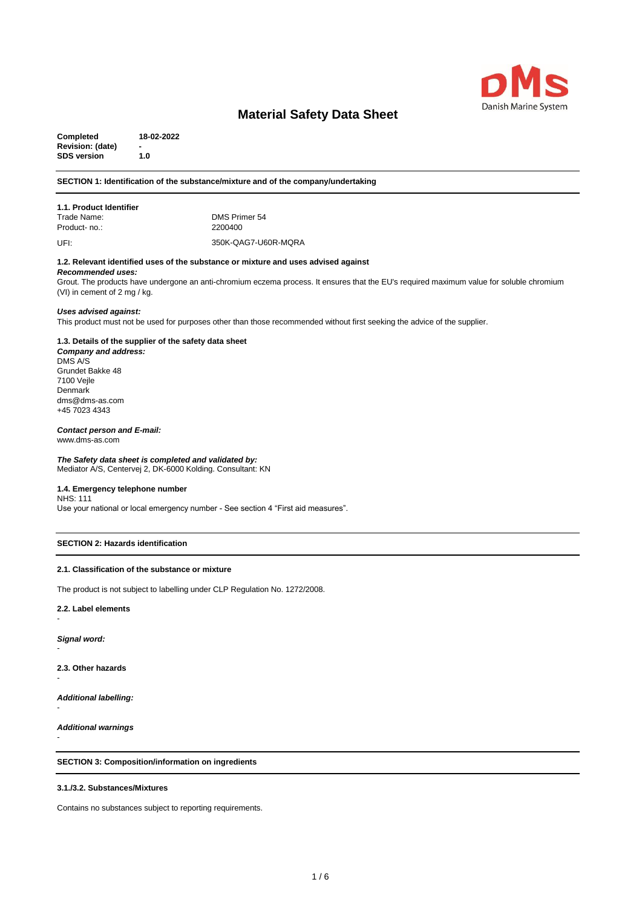

**Completed 18-02-2022 Revision: (date) - SDS version 1.0**

# **SECTION 1: Identification of the substance/mixture and of the company/undertaking**

# **1.1. Product Identifier**

DMS Primer 54<br>2200400

Product- no.:

UFI:

350K-QAG7-U60R-MQRA

# **1.2. Relevant identified uses of the substance or mixture and uses advised against**

#### *Recommended uses:*

Grout. The products have undergone an anti-chromium eczema process. It ensures that the EU's required maximum value for soluble chromium (VI) in cement of 2 mg / kg.

#### *Uses advised against:*

This product must not be used for purposes other than those recommended without first seeking the advice of the supplier.

# **1.3. Details of the supplier of the safety data sheet**

*Company and address:* DMS A/S Grundet Bakke 48 7100 Vejle Denmark dms@dms-as.com +45 7023 4343

# *Contact person and E-mail:*

www.dms-as.com

# *The Safety data sheet is completed and validated by:*

Mediator A/S, Centervej 2, DK-6000 Kolding. Consultant: KN

# **1.4. Emergency telephone number**

NHS: 111 Use your national or local emergency number - See section 4 "First aid measures".

#### **SECTION 2: Hazards identification**

#### **2.1. Classification of the substance or mixture**

The product is not subject to labelling under CLP Regulation No. 1272/2008.

# **2.2. Label elements**

*Signal word:*

-

-

-

-

-

**2.3. Other hazards**

*Additional labelling:*

*Additional warnings*

**SECTION 3: Composition/information on ingredients**

# **3.1./3.2. Substances/Mixtures**

Contains no substances subject to reporting requirements.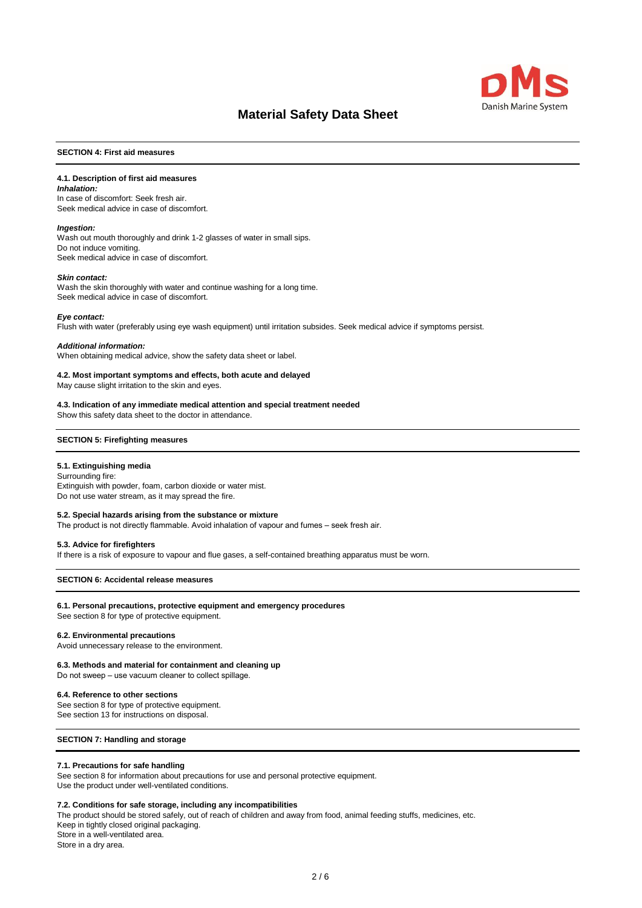

#### **SECTION 4: First aid measures**

# **4.1. Description of first aid measures**

#### *Inhalation:*

In case of discomfort: Seek fresh air. Seek medical advice in case of discomfort.

#### *Ingestion:*

Wash out mouth thoroughly and drink 1-2 glasses of water in small sips. Do not induce vomiting. Seek medical advice in case of discomfort.

#### *Skin contact:*

Wash the skin thoroughly with water and continue washing for a long time. Seek medical advice in case of discomfort.

#### *Eye contact:*

Flush with water (preferably using eye wash equipment) until irritation subsides. Seek medical advice if symptoms persist.

#### *Additional information:*

When obtaining medical advice, show the safety data sheet or label.

# **4.2. Most important symptoms and effects, both acute and delayed**

May cause slight irritation to the skin and eyes.

#### **4.3. Indication of any immediate medical attention and special treatment needed**

Show this safety data sheet to the doctor in attendance.

#### **SECTION 5: Firefighting measures**

# **5.1. Extinguishing media**

Surrounding fire: Extinguish with powder, foam, carbon dioxide or water mist. Do not use water stream, as it may spread the fire.

#### **5.2. Special hazards arising from the substance or mixture**

The product is not directly flammable. Avoid inhalation of vapour and fumes – seek fresh air.

#### **5.3. Advice for firefighters**

If there is a risk of exposure to vapour and flue gases, a self-contained breathing apparatus must be worn.

#### **SECTION 6: Accidental release measures**

# **6.1. Personal precautions, protective equipment and emergency procedures**

See section 8 for type of protective equipment.

# **6.2. Environmental precautions**

Avoid unnecessary release to the environment.

#### **6.3. Methods and material for containment and cleaning up**

Do not sweep – use vacuum cleaner to collect spillage.

#### **6.4. Reference to other sections**

See section 8 for type of protective equipment. See section 13 for instructions on disposal.

# **SECTION 7: Handling and storage**

#### **7.1. Precautions for safe handling**

See section 8 for information about precautions for use and personal protective equipment. Use the product under well-ventilated conditions.

#### **7.2. Conditions for safe storage, including any incompatibilities**

The product should be stored safely, out of reach of children and away from food, animal feeding stuffs, medicines, etc. Keep in tightly closed original packaging. Store in a well-ventilated area.

Store in a dry area.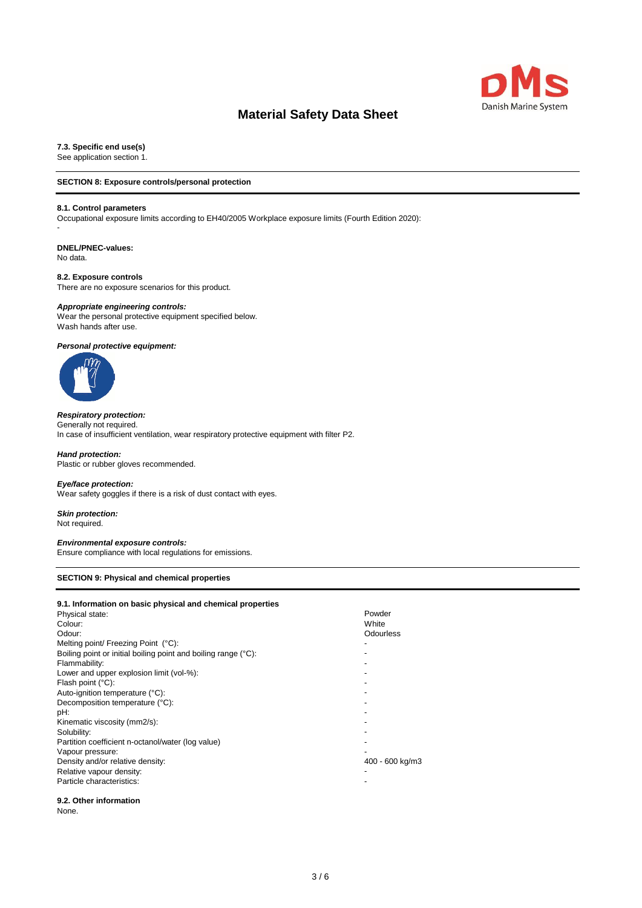

**7.3. Specific end use(s)**

See application section 1.

# **SECTION 8: Exposure controls/personal protection**

#### **8.1. Control parameters**

Occupational exposure limits according to EH40/2005 Workplace exposure limits (Fourth Edition 2020):

# **DNEL/PNEC-values:**

No data.

-

# **8.2. Exposure controls**

There are no exposure scenarios for this product.

#### *Appropriate engineering controls:*

Wear the personal protective equipment specified below. Wash hands after use.

# *Personal protective equipment:*



# *Respiratory protection:*

Generally not required. In case of insufficient ventilation, wear respiratory protective equipment with filter P2.

*Hand protection:* Plastic or rubber gloves recommended.

# *Eye/face protection:*

Wear safety goggles if there is a risk of dust contact with eyes.

### *Skin protection:* Not required.

#### *Environmental exposure controls:*

Ensure compliance with local regulations for emissions.

#### **SECTION 9: Physical and chemical properties**

| 9.1. Information on basic physical and chemical properties     |                 |
|----------------------------------------------------------------|-----------------|
| Physical state:                                                | Powder          |
| Colour:                                                        | White           |
| Odour:                                                         | Odourless       |
| Melting point/ Freezing Point (°C):                            |                 |
| Boiling point or initial boiling point and boiling range (°C): |                 |
| Flammability:                                                  |                 |
| Lower and upper explosion limit (vol-%):                       |                 |
| Flash point (°C):                                              |                 |
| Auto-ignition temperature (°C):                                |                 |
| Decomposition temperature (°C):                                |                 |
| pH:                                                            |                 |
| Kinematic viscosity (mm2/s):                                   |                 |
| Solubility:                                                    |                 |
| Partition coefficient n-octanol/water (log value)              |                 |
| Vapour pressure:                                               |                 |
| Density and/or relative density:                               | 400 - 600 kg/m3 |
| Relative vapour density:                                       |                 |
| Particle characteristics:                                      |                 |
| 9.2. Other information                                         |                 |

# None.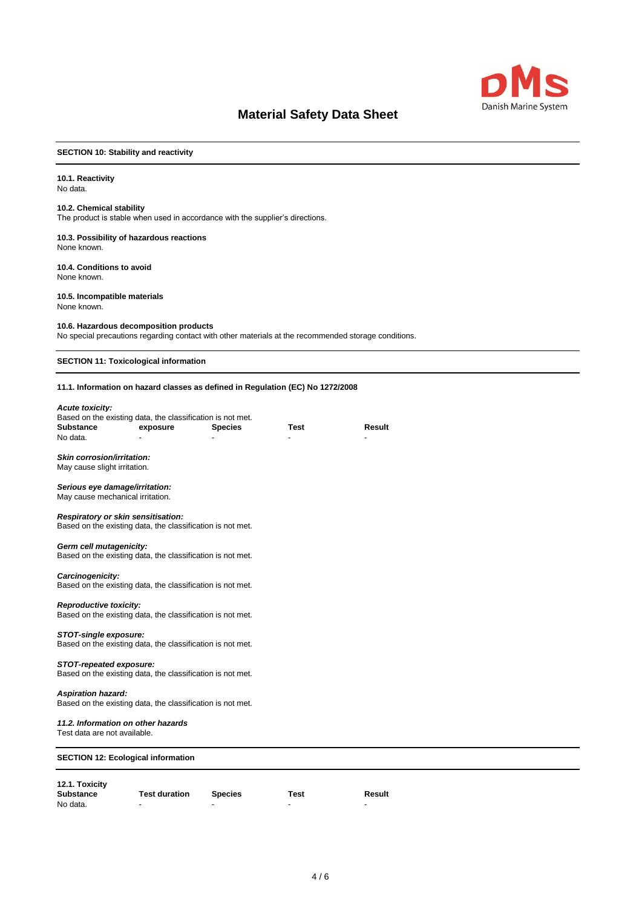

# **SECTION 10: Stability and reactivity**

#### **10.1. Reactivity**  No data.

# **10.2. Chemical stability**

The product is stable when used in accordance with the supplier's directions.

#### **10.3. Possibility of hazardous reactions** None known.

**10.4. Conditions to avoid** None known.

# **10.5. Incompatible materials**

None known.

#### **10.6. Hazardous decomposition products**

No special precautions regarding contact with other materials at the recommended storage conditions.

**SECTION 11: Toxicological information**

### **11.1. Information on hazard classes as defined in Regulation (EC) No 1272/2008**

#### *Acute toxicity:*

| Based on the existing data, the classification is not met. |          |                |      |        |
|------------------------------------------------------------|----------|----------------|------|--------|
| Substance                                                  | exposure | <b>Species</b> | Test | Result |
| No data.                                                   | -        | -              |      | -      |

#### *Skin corrosion/irritation:*

May cause slight irritation.

#### *Serious eye damage/irritation:*

May cause mechanical irritation.

#### *Respiratory or skin sensitisation:*

Based on the existing data, the classification is not met.

# *Germ cell mutagenicity:*

Based on the existing data, the classification is not met.

#### *Carcinogenicity:*

Based on the existing data, the classification is not met.

#### *Reproductive toxicity:*

Based on the existing data, the classification is not met.

#### *STOT-single exposure:*

Based on the existing data, the classification is not met.

# *STOT-repeated exposure:*

Based on the existing data, the classification is not met.

#### *Aspiration hazard:*

Based on the existing data, the classification is not met.

### *11.2. Information on other hazards*

Test data are not available.

# **SECTION 12: Ecological information**

# **12.1. Toxicity**

| <b>Substance</b> | <b>Test duration</b> | <b>Species</b> | Test | Result |
|------------------|----------------------|----------------|------|--------|
| No data.         |                      |                |      |        |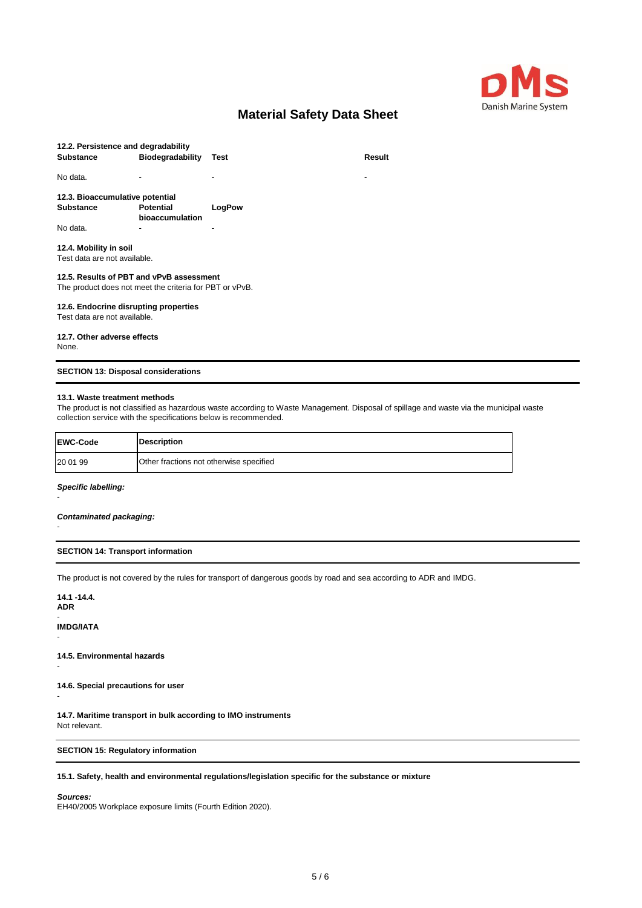

| 12.2. Persistence and degradability                     |                          |        |        |
|---------------------------------------------------------|--------------------------|--------|--------|
| <b>Substance</b>                                        | <b>Biodegradability</b>  | Test   | Result |
|                                                         |                          |        |        |
| No data.                                                | $\overline{\phantom{0}}$ |        | ٠      |
|                                                         |                          |        |        |
| 12.3. Bioaccumulative potential                         |                          |        |        |
| <b>Substance</b>                                        | <b>Potential</b>         | LogPow |        |
|                                                         | bioaccumulation          |        |        |
| No data.                                                |                          |        |        |
| 12.4. Mobility in soil                                  |                          |        |        |
| Test data are not available.                            |                          |        |        |
|                                                         |                          |        |        |
| 12.5. Results of PBT and vPvB assessment                |                          |        |        |
| The product does not meet the criteria for PBT or vPvB. |                          |        |        |
|                                                         |                          |        |        |
| 12.6. Endocrine disrupting properties                   |                          |        |        |
| Test data are not available.                            |                          |        |        |
|                                                         |                          |        |        |
| 12.7. Other adverse effects                             |                          |        |        |
| None.                                                   |                          |        |        |
|                                                         |                          |        |        |

# **SECTION 13: Disposal considerations**

# **13.1. Waste treatment methods**

The product is not classified as hazardous waste according to Waste Management. Disposal of spillage and waste via the municipal waste collection service with the specifications below is recommended.

| <b>EWC-Code</b> | <b>Description</b>                      |
|-----------------|-----------------------------------------|
| 20 01 99        | Other fractions not otherwise specified |

#### *Specific labelling:*

-

-

#### *Contaminated packaging:*

### **SECTION 14: Transport information**

The product is not covered by the rules for transport of dangerous goods by road and sea according to ADR and IMDG.

**14.1 -14.4. ADR**

-

-

-

**IMDG/IATA** -

**14.5. Environmental hazards**

**14.6. Special precautions for user**

**14.7. Maritime transport in bulk according to IMO instruments** Not relevant.

# **SECTION 15: Regulatory information**

# **15.1. Safety, health and environmental regulations/legislation specific for the substance or mixture**

# *Sources:*

EH40/2005 Workplace exposure limits (Fourth Edition 2020).